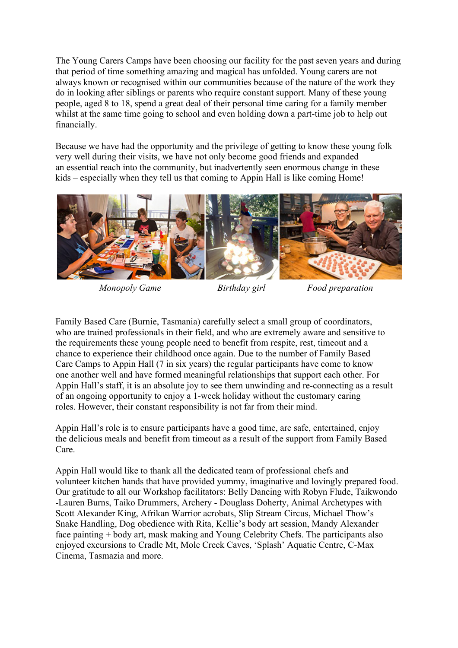The Young Carers Camps have been choosing our facility for the past seven years and during that period of time something amazing and magical has unfolded. Young carers are not always known or recognised within our communities because of the nature of the work they do in looking after siblings or parents who require constant support. Many of these young people, aged 8 to 18, spend a great deal of their personal time caring for a family member whilst at the same time going to school and even holding down a part-time job to help out financially.

Because we have had the opportunity and the privilege of getting to know these young folk very well during their visits, we have not only become good friends and expanded an essential reach into the community, but inadvertently seen enormous change in these kids – especially when they tell us that coming to Appin Hall is like coming Home!



*Monopoly Game Birthday girl Food preparation*

Family Based Care (Burnie, Tasmania) carefully select a small group of coordinators, who are trained professionals in their field, and who are extremely aware and sensitive to the requirements these young people need to benefit from respite, rest, timeout and a chance to experience their childhood once again. Due to the number of Family Based Care Camps to Appin Hall (7 in six years) the regular participants have come to know one another well and have formed meaningful relationships that support each other. For Appin Hall's staff, it is an absolute joy to see them unwinding and re-connecting as a result of an ongoing opportunity to enjoy a 1-week holiday without the customary caring roles. However, their constant responsibility is not far from their mind.

Appin Hall's role is to ensure participants have a good time, are safe, entertained, enjoy the delicious meals and benefit from timeout as a result of the support from Family Based Care.

Appin Hall would like to thank all the dedicated team of professional chefs and volunteer kitchen hands that have provided yummy, imaginative and lovingly prepared food. Our gratitude to all our Workshop facilitators: Belly Dancing with Robyn Flude, Taikwondo -Lauren Burns, Taiko Drummers, Archery - Douglass Doherty, Animal Archetypes with Scott Alexander King, Afrikan Warrior acrobats, Slip Stream Circus, Michael Thow's Snake Handling, Dog obedience with Rita, Kellie's body art session, Mandy Alexander face painting + body art, mask making and Young Celebrity Chefs. The participants also enjoyed excursions to Cradle Mt, Mole Creek Caves, 'Splash' Aquatic Centre, C-Max Cinema, Tasmazia and more.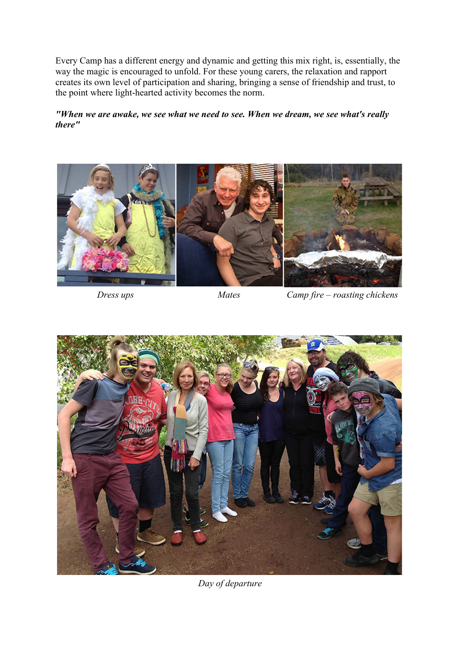Every Camp has a different energy and dynamic and getting this mix right, is, essentially, the way the magic is encouraged to unfold. For these young carers, the relaxation and rapport creates its own level of participation and sharing, bringing a sense of friendship and trust, to the point where light-hearted activity becomes the norm.

*"When we are awake, we see what we need to see. When we dream, we see what's really there"*



*Dress ups Mates Camp fire – roasting chickens*



*Day of departure*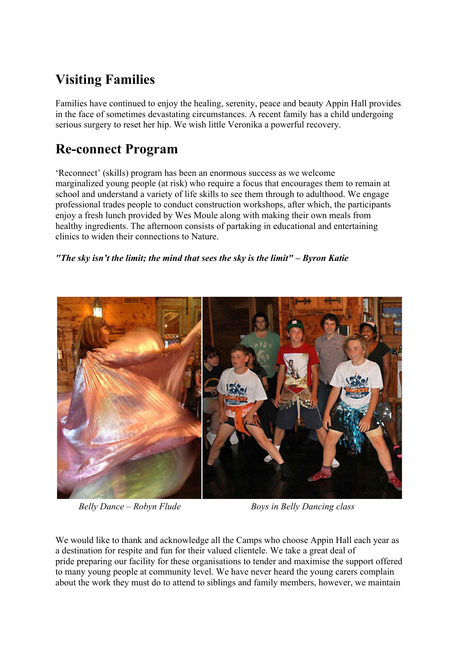# **Visiting Families**

Families have continued to enjoy the healing, serenity, peace and beauty Appin Hall provides in the face of sometimes devastating circumstances. A recent family has a child undergoing serious surgery to reset her hip. We wish little Veronika a powerful recovery.

#### **Re-connect Program**

'Reconnect' (skills) program has been an enormous success as we welcome marginalized young people (at risk) who require a focus that encourages them to remain at school and understand a variety of life skills to see them through to adulthood. We engage professional trades people to conduct construction workshops, after which, the participants enjoy a fresh lunch provided by Wes Moule along with making their own meals from healthy ingredients. The afternoon consists of partaking in educational and entertaining clinics to widen their connections to Nature.

#### *"The sky isn't the limit; the mind that sees the sky is the limit" – Byron Katie*



*Belly Dance – Robyn Flude Boys in Belly Dancing class*

We would like to thank and acknowledge all the Camps who choose Appin Hall each year as a destination for respite and fun for their valued clientele. We take a great deal of pride preparing our facility for these organisations to tender and maximise the support offered to many young people at community level. We have never heard the young carers complain about the work they must do to attend to siblings and family members, however, we maintain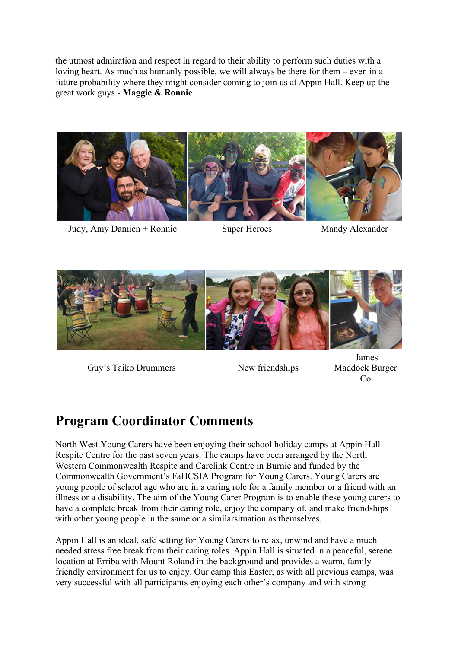the utmost admiration and respect in regard to their ability to perform such duties with a loving heart. As much as humanly possible, we will always be there for them – even in a future probability where they might consider coming to join us at Appin Hall. Keep up the great work guys - **Maggie & Ronnie**



Judy, Amy Damien + Ronnie Super Heroes Mandy Alexander



Guy's Taiko Drummers New friendships

James Maddock Burger Co

## **Program Coordinator Comments**

North West Young Carers have been enjoying their school holiday camps at Appin Hall Respite Centre for the past seven years. The camps have been arranged by the North Western Commonwealth Respite and Carelink Centre in Burnie and funded by the Commonwealth Government's FaHCSIA Program for Young Carers. Young Carers are young people of school age who are in a caring role for a family member or a friend with an illness or a disability. The aim of the Young Carer Program is to enable these young carers to have a complete break from their caring role, enjoy the company of, and make friendships with other young people in the same or a similarsituation as themselves.

Appin Hall is an ideal, safe setting for Young Carers to relax, unwind and have a much needed stress free break from their caring roles. Appin Hall is situated in a peaceful, serene location at Erriba with Mount Roland in the background and provides a warm, family friendly environment for us to enjoy. Our camp this Easter, as with all previous camps, was very successful with all participants enjoying each other's company and with strong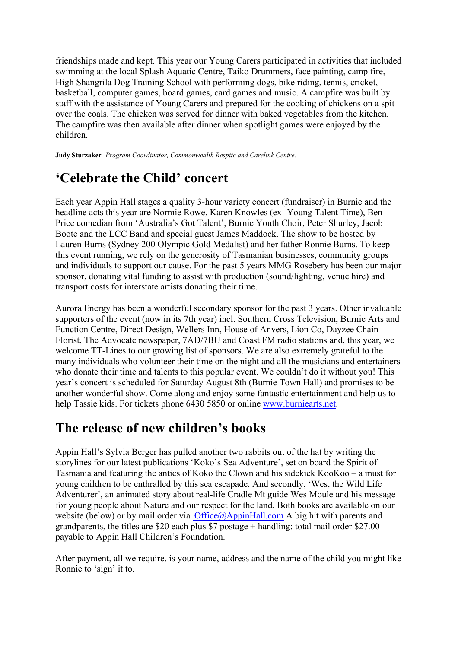friendships made and kept. This year our Young Carers participated in activities that included swimming at the local Splash Aquatic Centre, Taiko Drummers, face painting, camp fire, High Shangrila Dog Training School with performing dogs, bike riding, tennis, cricket, basketball, computer games, board games, card games and music. A campfire was built by staff with the assistance of Young Carers and prepared for the cooking of chickens on a spit over the coals. The chicken was served for dinner with baked vegetables from the kitchen. The campfire was then available after dinner when spotlight games were enjoyed by the children.

**Judy Sturzaker***- Program Coordinator, Commonwealth Respite and Carelink Centre.*

## **'Celebrate the Child' concert**

Each year Appin Hall stages a quality 3-hour variety concert (fundraiser) in Burnie and the headline acts this year are Normie Rowe, Karen Knowles (ex- Young Talent Time), Ben Price comedian from 'Australia's Got Talent', Burnie Youth Choir, Peter Shurley, Jacob Boote and the LCC Band and special guest James Maddock. The show to be hosted by Lauren Burns (Sydney 200 Olympic Gold Medalist) and her father Ronnie Burns. To keep this event running, we rely on the generosity of Tasmanian businesses, community groups and individuals to support our cause. For the past 5 years MMG Rosebery has been our major sponsor, donating vital funding to assist with production (sound/lighting, venue hire) and transport costs for interstate artists donating their time.

Aurora Energy has been a wonderful secondary sponsor for the past 3 years. Other invaluable supporters of the event (now in its 7th year) incl. Southern Cross Television, Burnie Arts and Function Centre, Direct Design, Wellers Inn, House of Anvers, Lion Co, Dayzee Chain Florist, The Advocate newspaper, 7AD/7BU and Coast FM radio stations and, this year, we welcome TT-Lines to our growing list of sponsors. We are also extremely grateful to the many individuals who volunteer their time on the night and all the musicians and entertainers who donate their time and talents to this popular event. We couldn't do it without you! This year's concert is scheduled for Saturday August 8th (Burnie Town Hall) and promises to be another wonderful show. Come along and enjoy some fantastic entertainment and help us to help Tassie kids. For tickets phone 6430 5850 or online www.burniearts.net.

## **The release of new children's books**

Appin Hall's Sylvia Berger has pulled another two rabbits out of the hat by writing the storylines for our latest publications 'Koko's Sea Adventure', set on board the Spirit of Tasmania and featuring the antics of Koko the Clown and his sidekick KooKoo – a must for young children to be enthralled by this sea escapade. And secondly, 'Wes, the Wild Life Adventurer', an animated story about real-life Cradle Mt guide Wes Moule and his message for young people about Nature and our respect for the land. Both books are available on our website (below) or by mail order via Office@AppinHall.com A big hit with parents and grandparents, the titles are \$20 each plus \$7 postage + handling: total mail order \$27.00 payable to Appin Hall Children's Foundation.

After payment, all we require, is your name, address and the name of the child you might like Ronnie to 'sign' it to.